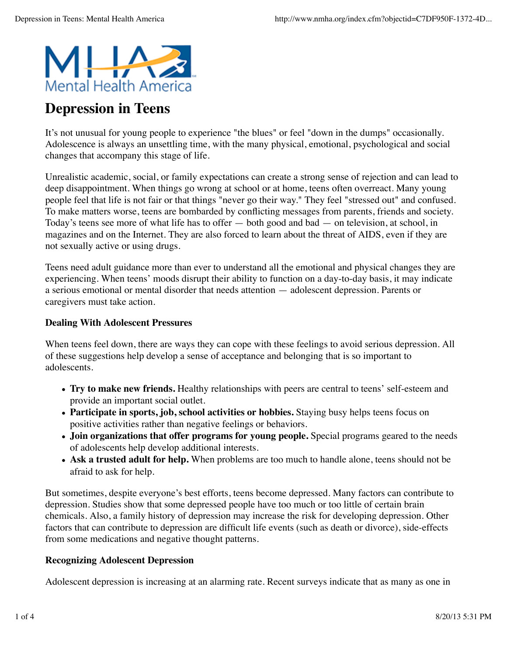

# **Depression in Teens**

It's not unusual for young people to experience "the blues" or feel "down in the dumps" occasionally. Adolescence is always an unsettling time, with the many physical, emotional, psychological and social changes that accompany this stage of life.

Unrealistic academic, social, or family expectations can create a strong sense of rejection and can lead to deep disappointment. When things go wrong at school or at home, teens often overreact. Many young people feel that life is not fair or that things "never go their way." They feel "stressed out" and confused. To make matters worse, teens are bombarded by conflicting messages from parents, friends and society. Today's teens see more of what life has to offer — both good and bad — on television, at school, in magazines and on the Internet. They are also forced to learn about the threat of AIDS, even if they are not sexually active or using drugs.

Teens need adult guidance more than ever to understand all the emotional and physical changes they are experiencing. When teens' moods disrupt their ability to function on a day-to-day basis, it may indicate a serious emotional or mental disorder that needs attention — adolescent depression. Parents or caregivers must take action.

## **Dealing With Adolescent Pressures**

When teens feel down, there are ways they can cope with these feelings to avoid serious depression. All of these suggestions help develop a sense of acceptance and belonging that is so important to adolescents.

- **Try to make new friends.** Healthy relationships with peers are central to teens' self-esteem and provide an important social outlet.
- **Participate in sports, job, school activities or hobbies.** Staying busy helps teens focus on positive activities rather than negative feelings or behaviors.
- **Join organizations that offer programs for young people.** Special programs geared to the needs of adolescents help develop additional interests.
- **Ask a trusted adult for help.** When problems are too much to handle alone, teens should not be afraid to ask for help.

But sometimes, despite everyone's best efforts, teens become depressed. Many factors can contribute to depression. Studies show that some depressed people have too much or too little of certain brain chemicals. Also, a family history of depression may increase the risk for developing depression. Other factors that can contribute to depression are difficult life events (such as death or divorce), side-effects from some medications and negative thought patterns.

# **Recognizing Adolescent Depression**

Adolescent depression is increasing at an alarming rate. Recent surveys indicate that as many as one in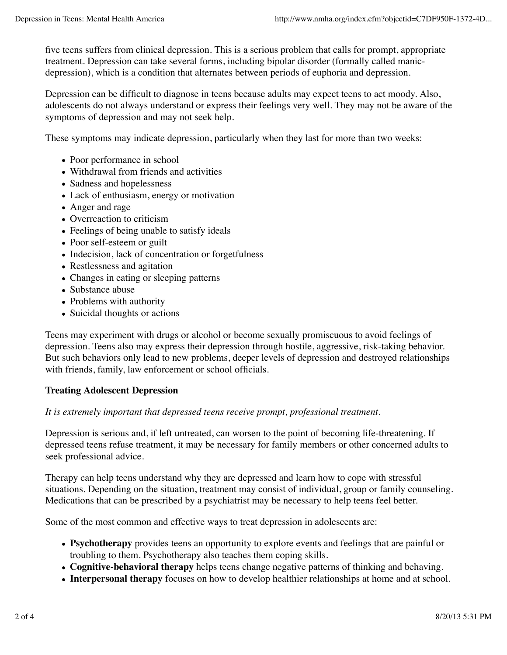five teens suffers from clinical depression. This is a serious problem that calls for prompt, appropriate treatment. Depression can take several forms, including bipolar disorder (formally called manicdepression), which is a condition that alternates between periods of euphoria and depression.

Depression can be difficult to diagnose in teens because adults may expect teens to act moody. Also, adolescents do not always understand or express their feelings very well. They may not be aware of the symptoms of depression and may not seek help.

These symptoms may indicate depression, particularly when they last for more than two weeks:

- Poor performance in school
- Withdrawal from friends and activities
- Sadness and hopelessness
- Lack of enthusiasm, energy or motivation
- Anger and rage
- Overreaction to criticism
- Feelings of being unable to satisfy ideals
- Poor self-esteem or guilt
- Indecision, lack of concentration or forgetfulness
- Restlessness and agitation
- Changes in eating or sleeping patterns
- Substance abuse
- Problems with authority
- Suicidal thoughts or actions

Teens may experiment with drugs or alcohol or become sexually promiscuous to avoid feelings of depression. Teens also may express their depression through hostile, aggressive, risk-taking behavior. But such behaviors only lead to new problems, deeper levels of depression and destroyed relationships with friends, family, law enforcement or school officials.

#### **Treating Adolescent Depression**

#### *It is extremely important that depressed teens receive prompt, professional treatment.*

Depression is serious and, if left untreated, can worsen to the point of becoming life-threatening. If depressed teens refuse treatment, it may be necessary for family members or other concerned adults to seek professional advice.

Therapy can help teens understand why they are depressed and learn how to cope with stressful situations. Depending on the situation, treatment may consist of individual, group or family counseling. Medications that can be prescribed by a psychiatrist may be necessary to help teens feel better.

Some of the most common and effective ways to treat depression in adolescents are:

- **Psychotherapy** provides teens an opportunity to explore events and feelings that are painful or troubling to them. Psychotherapy also teaches them coping skills.
- **Cognitive-behavioral therapy** helps teens change negative patterns of thinking and behaving.
- **Interpersonal therapy** focuses on how to develop healthier relationships at home and at school.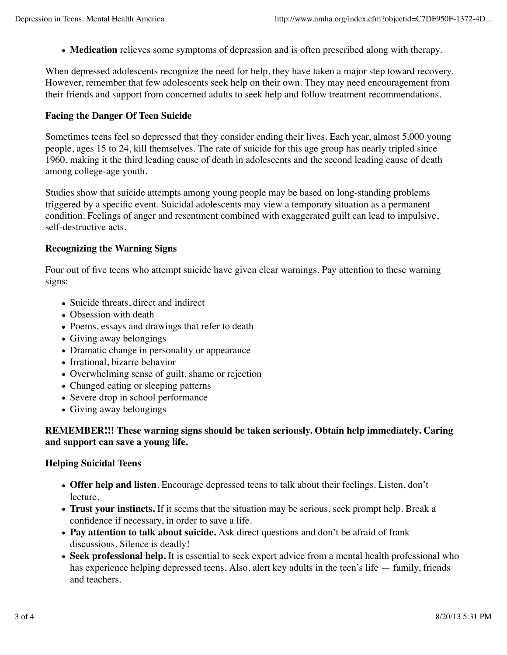**Medication** relieves some symptoms of depression and is often prescribed along with therapy.

When depressed adolescents recognize the need for help, they have taken a major step toward recovery. However, remember that few adolescents seek help on their own. They may need encouragement from their friends and support from concerned adults to seek help and follow treatment recommendations.

### **Facing the Danger Of Teen Suicide**

Sometimes teens feel so depressed that they consider ending their lives. Each year, almost 5,000 young people, ages 15 to 24, kill themselves. The rate of suicide for this age group has nearly tripled since 1960, making it the third leading cause of death in adolescents and the second leading cause of death among college-age youth.

Studies show that suicide attempts among young people may be based on long-standing problems triggered by a specific event. Suicidal adolescents may view a temporary situation as a permanent condition. Feelings of anger and resentment combined with exaggerated guilt can lead to impulsive, self-destructive acts.

### **Recognizing the Warning Signs**

Four out of five teens who attempt suicide have given clear warnings. Pay attention to these warning signs:

- Suicide threats, direct and indirect
- Obsession with death
- Poems, essays and drawings that refer to death
- Giving away belongings
- Dramatic change in personality or appearance
- Irrational, bizarre behavior
- Overwhelming sense of guilt, shame or rejection
- Changed eating or sleeping patterns
- Severe drop in school performance
- Giving away belongings

### **REMEMBER!!! These warning signs should be taken seriously. Obtain help immediately. Caring and support can save a young life.**

#### **Helping Suicidal Teens**

- **Offer help and listen**. Encourage depressed teens to talk about their feelings. Listen, don't lecture.
- **Trust your instincts.** If it seems that the situation may be serious, seek prompt help. Break a confidence if necessary, in order to save a life.
- **Pay attention to talk about suicide.** Ask direct questions and don't be afraid of frank discussions. Silence is deadly!
- **Seek professional help.** It is essential to seek expert advice from a mental health professional who has experience helping depressed teens. Also, alert key adults in the teen's life — family, friends and teachers.